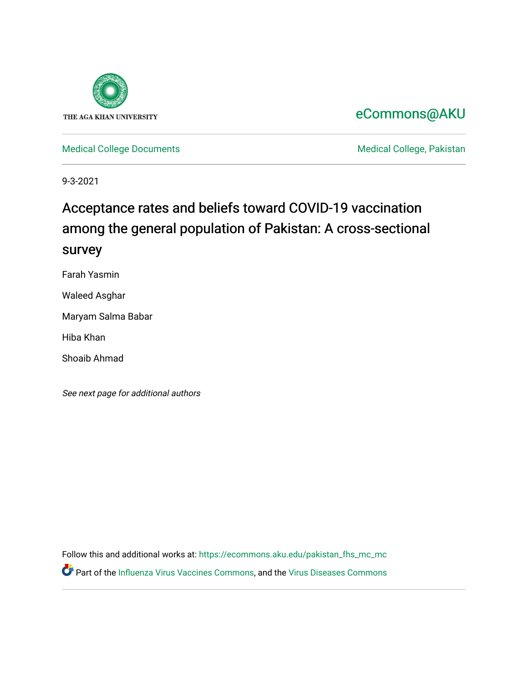

# [eCommons@AKU](https://ecommons.aku.edu/)

[Medical College Documents](https://ecommons.aku.edu/pakistan_fhs_mc_mc) **Medical College, Pakistan** 

9-3-2021

# Acceptance rates and beliefs toward COVID-19 vaccination among the general population of Pakistan: A cross-sectional survey

Farah Yasmin

Waleed Asghar

Maryam Salma Babar

Hiba Khan

Shoaib Ahmad

See next page for additional authors

Follow this and additional works at: [https://ecommons.aku.edu/pakistan\\_fhs\\_mc\\_mc](https://ecommons.aku.edu/pakistan_fhs_mc_mc?utm_source=ecommons.aku.edu%2Fpakistan_fhs_mc_mc%2F226&utm_medium=PDF&utm_campaign=PDFCoverPages)  Part of the [Influenza Virus Vaccines Commons,](http://network.bepress.com/hgg/discipline/1070?utm_source=ecommons.aku.edu%2Fpakistan_fhs_mc_mc%2F226&utm_medium=PDF&utm_campaign=PDFCoverPages) and the [Virus Diseases Commons](http://network.bepress.com/hgg/discipline/998?utm_source=ecommons.aku.edu%2Fpakistan_fhs_mc_mc%2F226&utm_medium=PDF&utm_campaign=PDFCoverPages)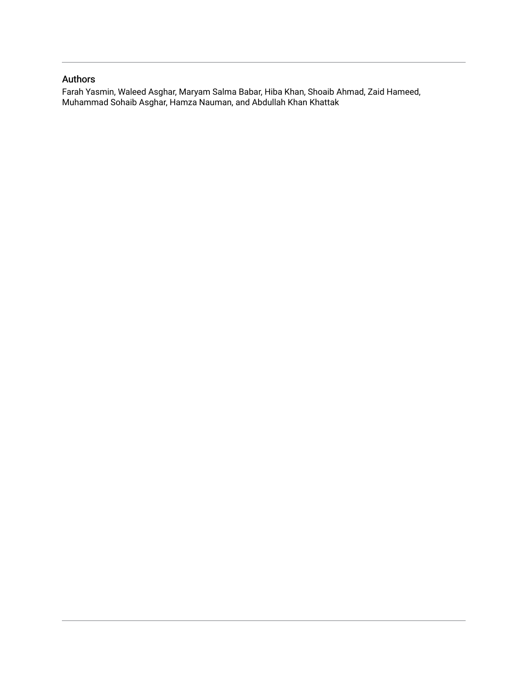## Authors

Farah Yasmin, Waleed Asghar, Maryam Salma Babar, Hiba Khan, Shoaib Ahmad, Zaid Hameed, Muhammad Sohaib Asghar, Hamza Nauman, and Abdullah Khan Khattak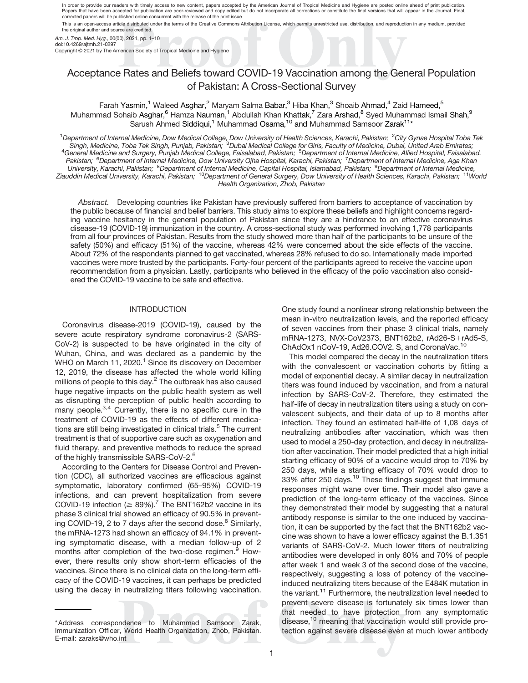In order to provide our readers with timely access to new content, papers accepted by the American Journal of Tropical Medicine and Hygiene are posted online ahead of print publication. Papers that have been accepted for publication are peer-reviewed and copy edited but do not incorporate all corrections or constitute the final versions that will appear in the Journal. Final,<br>corrected papers will be publ This is an open-access article distributed under the terms of the Creative Commons Attribution License, which permits unrestricted use, distribution, and reproduction in any medium, provided

the original author and source are credited.

Am. J. Trop. Med. Hyg., 00(00), 2021, pp. 1–10 doi:10.4269/ajtmh.21-0297

Copyright © 2021 by The American Society of Tropical Medicine and Hygiene

# Acceptance Rates and Beliefs toward COVID-19 Vaccination among the General Population of Pakistan: A Cross-Sectional Survey

Farah Yasmin,<sup>1</sup> Waleed Asghar,<sup>2</sup> Maryam Salma Babar,<sup>3</sup> Hiba Khan,<sup>3</sup> Shoaib Ahmad,<sup>4</sup> Zaid Hameed,<sup>5</sup> Muhammad Sohaib Asghar, <sup>6</sup> Hamza Nauman,<sup>1</sup> Abdullah Khan Khattak,<sup>7</sup> Zara Arshad, <sup>8</sup> Syed Muhammad Ismail Shah, <sup>9</sup> Sarush Ahmed Siddiqui,<sup>1</sup> Muhammad Osama,<sup>10</sup> and Muhammad Samsoor Zarak<sup>11\*</sup>

<sup>1</sup>Department of Internal Medicine, Dow Medical College, Dow University of Health Sciences, Karachi, Pakistan; <sup>2</sup>City Gynae Hospital Toba Tek<br>Singh, Medicine, Toba Tek Singh, Punjab, Pakistan; <sup>3</sup>Dubai Medical College for General Medicine and Surgery, Punjab Medical College, Faisalabad, Pakistan; <sup>5</sup>Department of Internal Medicine, Allied Hospital, Faisalabad, Pakistan; <sup>6</sup>Department of Internal Medicine, Dow University Ojha Hospital, Karachi, Pakistan; <sup>7</sup>Department of Internal Medicine, Aga Khan University, Karachi, Pakistan; <sup>8</sup>Department of Internal Medicine, Capital Hospital, Islamabad, Pakistan; <sup>9</sup>Department of Internal Medicine, Ziauddin Medical University, Karachi, Pakistan; <sup>10</sup>Department of General Surgery, Dow University of Health Sciences, Karachi, Pakistan; <sup>11</sup>World Health Organization, Zhob, Pakistan

Abstract. Developing countries like Pakistan have previously suffered from barriers to acceptance of vaccination by the public because of financial and belief barriers. This study aims to explore these beliefs and highlight concerns regarding vaccine hesitancy in the general population of Pakistan since they are a hindrance to an effective coronavirus disease-19 (COVID-19) immunization in the country. A cross-sectional study was performed involving 1,778 participants from all four provinces of Pakistan. Results from the study showed more than half of the participants to be unsure of the safety (50%) and efficacy (51%) of the vaccine, whereas 42% were concerned about the side effects of the vaccine. About 72% of the respondents planned to get vaccinated, whereas 28% refused to do so. Internationally made imported vaccines were more trusted by the participants. Forty-four percent of the participants agreed to receive the vaccine upon recommendation from a physician. Lastly, participants who believed in the efficacy of the polio vaccination also considered the COVID-19 vaccine to be safe and effective.

#### INTRODUCTION

Coronavirus disease-2019 (COVID-19), caused by the severe acute respiratory syndrome coronavirus-2 (SARS-CoV-2) is suspected to be have originated in the city of Wuhan, China, and was declared as a pandemic by the WHO on March 11, 2020.<sup>1</sup> Since its discovery on December 12, 2019, the disease has affected the whole world killing millions of people to this day.<sup>2</sup> The outbreak has also caused huge negative impacts on the public health system as well as disrupting the perception of public health according to many people.<sup>3,4</sup> Currently, there is no specific cure in the treatment of COVID-19 as the effects of different medications are still being investigated in clinical trials.<sup>5</sup> The current treatment is that of supportive care such as oxygenation and fluid therapy, and preventive methods to reduce the spread of the highly transmissible SARS-CoV-2.<sup>6</sup>

According to the Centers for Disease Control and Prevention (CDC), all authorized vaccines are efficacious against symptomatic, laboratory confirmed (65–95%) COVID-19 infections, and can prevent hospitalization from severe COVID-19 infection ( $\geq 89\%$ ).<sup>7</sup> The BNT162b2 vaccine in its phase 3 clinical trial showed an efficacy of 90.5% in preventing COVID-19, 2 to 7 days after the second dose. $8$  Similarly, the mRNA-1273 had shown an efficacy of 94.1% in preventing symptomatic disease, with a median follow-up of 2 months after completion of the two-dose regimen.<sup>9</sup> However, there results only show short-term efficacies of the vaccines. Since there is no clinical data on the long-term efficacy of the COVID-19 vaccines, it can perhaps be predicted using the decay in neutralizing titers following vaccination. One study found a nonlinear strong relationship between the mean in-vitro neutralization levels, and the reported efficacy of seven vaccines from their phase 3 clinical trials, namely mRNA-1273, NVX-CoV2373, BNT162b2, rAd26-S+rAd5-S, ChAdOx1 nCoV-19, Ad26.COV2. S, and CoronaVac.<sup>[10](#page-10-0)</sup>

This model compared the decay in the neutralization titers with the convalescent or vaccination cohorts by fitting a model of exponential decay. A similar decay in neutralization titers was found induced by vaccination, and from a natural infection by SARS-CoV-2. Therefore, they estimated the half-life of decay in neutralization titers using a study on convalescent subjects, and their data of up to 8 months after infection. They found an estimated half-life of 1,08 days of neutralizing antibodies after vaccination, which was then used to model a 250-day protection, and decay in neutralization after vaccination. Their model predicted that a high initial starting efficacy of 90% of a vaccine would drop to 70% by 250 days, while a starting efficacy of 70% would drop to 33% after 250 days.<sup>10</sup> These findings suggest that immune responses might wane over time. Their model also gave a prediction of the long-term efficacy of the vaccines. Since they demonstrated their model by suggesting that a natural antibody response is similar to the one induced by vaccination, it can be supported by the fact that the BNT162b2 vaccine was shown to have a lower efficacy against the B.1.351 variants of SARS-CoV-2. Much lower titers of neutralizing antibodies were developed in only 60% and 70% of people after week 1 and week 3 of the second dose of the vaccine, respectively, suggesting a loss of potency of the vaccineinduced neutralizing titers because of the E484K mutation in the variant.<sup>11</sup> Furthermore, the neutralization level needed to prevent severe disease is fortunately six times lower than that needed to have protection from any symptomatic disease,<sup>[10](#page-10-0)</sup> meaning that vaccination would still provide protection against severe disease even at much lower antibody

<sup>\*</sup>Address correspondence to Muhammad Samsoor Zarak, Immunization Officer, World Health Organization, Zhob, Pakistan. E-mail: [zaraks@who.int](mailto:zaraks@who.int)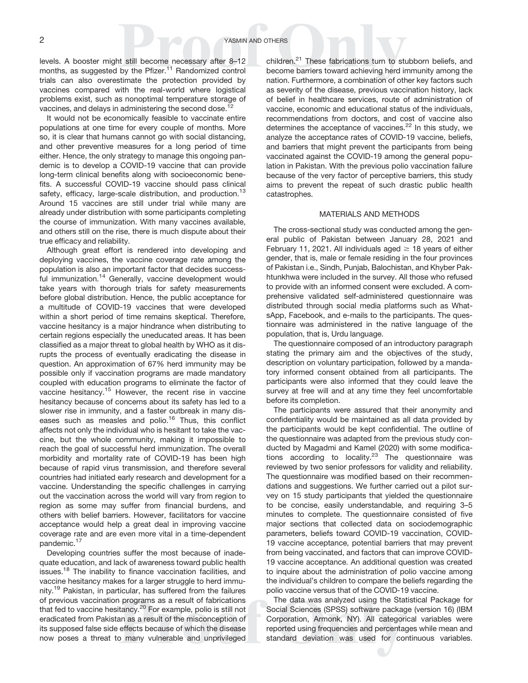levels. A booster might still become necessary after 8–12 months, as suggested by the Pfizer.<sup>11</sup> Randomized control trials can also overestimate the protection provided by vaccines compared with the real-world where logistical problems exist, such as nonoptimal temperature storage of vaccines, and delays in administering the second dose.

It would not be economically feasible to vaccinate entire populations at one time for every couple of months. More so, it is clear that humans cannot go with social distancing, and other preventive measures for a long period of time either. Hence, the only strategy to manage this ongoing pandemic is to develop a COVID-19 vaccine that can provide long-term clinical benefits along with socioeconomic benefits. A successful COVID-19 vaccine should pass clinical safety, efficacy, large-scale distribution, and production.<sup>[13](#page-10-0)</sup> Around 15 vaccines are still under trial while many are already under distribution with some participants completing the course of immunization. With many vaccines available, and others still on the rise, there is much dispute about their true efficacy and reliability.

Although great effort is rendered into developing and deploying vaccines, the vaccine coverage rate among the population is also an important factor that decides success-ful immunization.<sup>[14](#page-10-0)</sup> Generally, vaccine development would take years with thorough trials for safety measurements before global distribution. Hence, the public acceptance for a multitude of COVID-19 vaccines that were developed within a short period of time remains skeptical. Therefore, vaccine hesitancy is a major hindrance when distributing to certain regions especially the uneducated areas. It has been classified as a major threat to global health by WHO as it disrupts the process of eventually eradicating the disease in question. An approximation of 67% herd immunity may be possible only if vaccination programs are made mandatory coupled with education programs to eliminate the factor of vaccine hesitancy.<sup>[15](#page-10-0)</sup> However, the recent rise in vaccine hesitancy because of concerns about its safety has led to a slower rise in immunity, and a faster outbreak in many diseases such as measles and polio.<sup>16</sup> Thus, this conflict affects not only the individual who is hesitant to take the vaccine, but the whole community, making it impossible to reach the goal of successful herd immunization. The overall morbidity and mortality rate of COVID-19 has been high because of rapid virus transmission, and therefore several countries had initiated early research and development for a vaccine. Understanding the specific challenges in carrying out the vaccination across the world will vary from region to region as some may suffer from financial burdens, and others with belief barriers. However, facilitators for vaccine acceptance would help a great deal in improving vaccine coverage rate and are even more vital in a time-dependent pandemic.<sup>[17](#page-10-0)</sup>

Developing countries suffer the most because of inadequate education, and lack of awareness toward public health issues.<sup>18</sup> The inability to finance vaccination facilities, and vaccine hesitancy makes for a larger struggle to herd immunity.<sup>19</sup> Pakistan, in particular, has suffered from the failures of previous vaccination programs as a result of fabrications that fed to vaccine hesitancy.[20](#page-10-0) For example, polio is still not eradicated from Pakistan as a result of the misconception of its supposed false side effects because of which the disease now poses a threat to many vulnerable and unprivileged

children.<sup>21</sup> These fabrications turn to stubborn beliefs, and become barriers toward achieving herd immunity among the nation. Furthermore, a combination of other key factors such as severity of the disease, previous vaccination history, lack of belief in healthcare services, route of administration of vaccine, economic and educational status of the individuals, recommendations from doctors, and cost of vaccine also determines the acceptance of vaccines. $^{22}$  In this study, we analyze the acceptance rates of COVID-19 vaccine, beliefs, and barriers that might prevent the participants from being vaccinated against the COVID-19 among the general population in Pakistan. With the previous polio vaccination failure because of the very factor of perceptive barriers, this study aims to prevent the repeat of such drastic public health catastrophes.

#### MATERIALS AND METHODS

The cross-sectional study was conducted among the general public of Pakistan between January 28, 2021 and February 11, 2021. All individuals aged  $\geq$  18 years of either gender, that is, male or female residing in the four provinces of Pakistan i.e., Sindh, Punjab, Balochistan, and Khyber Pakhtunkhwa were included in the survey. All those who refused to provide with an informed consent were excluded. A comprehensive validated self-administered questionnaire was distributed through social media platforms such as WhatsApp, Facebook, and e-mails to the participants. The questionnaire was administered in the native language of the population, that is, Urdu language.

The questionnaire composed of an introductory paragraph stating the primary aim and the objectives of the study, description on voluntary participation, followed by a mandatory informed consent obtained from all participants. The participants were also informed that they could leave the survey at free will and at any time they feel uncomfortable before its completion.

The participants were assured that their anonymity and confidentiality would be maintained as all data provided by the participants would be kept confidential. The outline of the questionnaire was adapted from the previous study conducted by Magadmi and Kamel (2020) with some modifications according to locality. $23$  The questionnaire was reviewed by two senior professors for validity and reliability. The questionnaire was modified based on their recommendations and suggestions. We further carried out a pilot survey on 15 study participants that yielded the questionnaire to be concise, easily understandable, and requiring 3–5 minutes to complete. The questionnaire consisted of five major sections that collected data on sociodemographic parameters, beliefs toward COVID-19 vaccination, COVID-19 vaccine acceptance, potential barriers that may prevent from being vaccinated, and factors that can improve COVID-19 vaccine acceptance. An additional question was created to inquire about the administration of polio vaccine among the individual's children to compare the beliefs regarding the polio vaccine versus that of the COVID-19 vaccine.

The data was analyzed using the Statistical Package for Social Sciences (SPSS) software package (version 16) (IBM Corporation, Armonk, NY). All categorical variables were reported using frequencies and percentages while mean and standard deviation was used for continuous variables.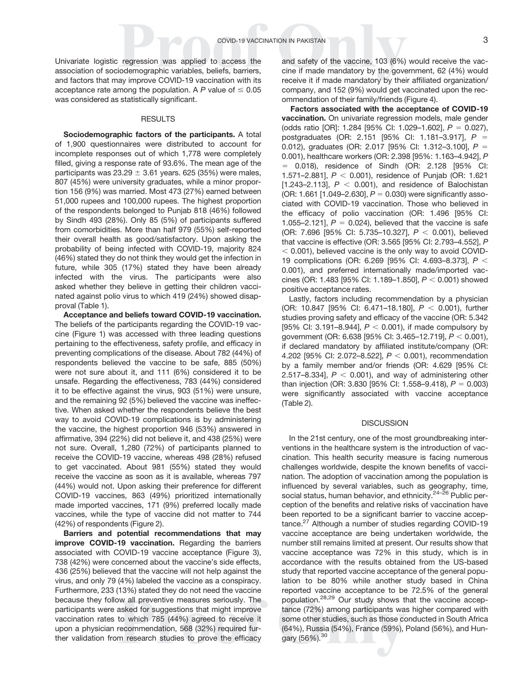Univariate logistic regression was applied to access the association of sociodemographic variables, beliefs, barriers, and factors that may improve COVID-19 vaccination with its acceptance rate among the population. A P value of  $\leq 0.05$ was considered as statistically significant.

#### RESULTS

Sociodemographic factors of the participants. A total of 1,900 questionnaires were distributed to account for incomplete responses out of which 1,778 were completely filled, giving a response rate of 93.6%. The mean age of the participants was  $23.29 \pm 3.61$  years. 625 (35%) were males, 807 (45%) were university graduates, while a minor proportion 156 (9%) was married. Most 473 (27%) earned between 51,000 rupees and 100,000 rupees. The highest proportion of the respondents belonged to Punjab 818 (46%) followed by Sindh 493 (28%). Only 85 (5%) of participants suffered from comorbidities. More than half 979 (55%) self-reported their overall health as good/satisfactory. Upon asking the probability of being infected with COVID-19, majority 824 (46%) stated they do not think they would get the infection in future, while 305 (17%) stated they have been already infected with the virus. The participants were also asked whether they believe in getting their children vaccinated against polio virus to which 419 (24%) showed disapproval ([Table 1\)](#page-5-0).

Acceptance and beliefs toward COVID-19 vaccination. The beliefs of the participants regarding the COVID-19 vaccine [\(Figure 1\)](#page-6-0) was accessed with three leading questions pertaining to the effectiveness, safety profile, and efficacy in preventing complications of the disease. About 782 (44%) of respondents believed the vaccine to be safe, 885 (50%) were not sure about it, and 111 (6%) considered it to be unsafe. Regarding the effectiveness, 783 (44%) considered it to be effective against the virus, 903 (51%) were unsure, and the remaining 92 (5%) believed the vaccine was ineffective. When asked whether the respondents believe the best way to avoid COVID-19 complications is by administering the vaccine, the highest proportion 946 (53%) answered in affirmative, 394 (22%) did not believe it, and 438 (25%) were not sure. Overall, 1,280 (72%) of participants planned to receive the COVID-19 vaccine, whereas 498 (28%) refused to get vaccinated. About 981 (55%) stated they would receive the vaccine as soon as it is available, whereas 797 (44%) would not. Upon asking their preference for different COVID-19 vaccines, 863 (49%) prioritized internationally made imported vaccines, 171 (9%) preferred locally made vaccines, while the type of vaccine did not matter to 744 (42%) of respondents ([Figure 2](#page-6-0)).

Barriers and potential recommendations that may improve COVID-19 vaccination. Regarding the barriers associated with COVID-19 vaccine acceptance [\(Figure 3](#page-7-0)), 738 (42%) were concerned about the vaccine's side effects, 436 (25%) believed that the vaccine will not help against the virus, and only 79 (4%) labeled the vaccine as a conspiracy. Furthermore, 233 (13%) stated they do not need the vaccine because they follow all preventive measures seriously. The participants were asked for suggestions that might improve vaccination rates to which 785 (44%) agreed to receive it upon a physician recommendation, 568 (32%) required further validation from research studies to prove the efficacy

and safety of the vaccine, 103 (6%) would receive the vaccine if made mandatory by the government, 62 (4%) would receive it if made mandatory by their affiliated organization/ company, and 152 (9%) would get vaccinated upon the recommendation of their family/friends [\(Figure 4](#page-7-0)).

Factors associated with the acceptance of COVID-19 vaccination. On univariate regression models, male gender (odds ratio [OR]: 1.284 [95% CI: 1.029-1.602],  $P = 0.027$ ), postgraduates (OR: 2.151 [95% CI: 1.181-3.917],  $P =$ 0.012), graduates (OR: 2.017 [95% CI: 1.312-3.100],  $P =$ 0.001), healthcare workers (OR: 2.398 [95%: 1.163–4.942], P  $= 0.018$ ), residence of Sindh (OR: 2.128 [95% CI: 1.571–2.881],  $P < 0.001$ ), residence of Punjab (OR: 1.621 [1.243-2.113],  $P < 0.001$ ), and residence of Balochistan (OR: 1.661 [1.049–2.630],  $P = 0.030$ ) were significantly associated with COVID-19 vaccination. Those who believed in the efficacy of polio vaccination (OR: 1.496 [95% CI: 1.055–2.121],  $P = 0.024$ ), believed that the vaccine is safe (OR: 7.696 [95% CI: 5.735-10.327],  $P < 0.001$ ), believed that vaccine is effective (OR: 3.565 [95% CI: 2.793–4.552], P  $<$  0.001), believed vaccine is the only way to avoid COVID-19 complications (OR: 6.269 [95% CI: 4.693-8.373],  $P <$ 0.001), and preferred internationally made/imported vaccines (OR: 1.483 [95% CI: 1.189-1.850],  $P < 0.001$ ) showed positive acceptance rates.

Lastly, factors including recommendation by a physician (OR: 10.847 [95% CI: 6.471-18.180],  $P < 0.001$ ), further studies proving safety and efficacy of the vaccine (OR: 5.342 [95% CI: 3.191–8.944],  $P < 0.001$ ), if made compulsory by government (OR: 6.638 [95% CI: 3.465-12.719],  $P < 0.001$ ), if declared mandatory by affiliated institute/company (OR: 4.202 [95% Cl: 2.072-8.522],  $P < 0.001$ ), recommendation by a family member and/or friends (OR: 4.629 [95% CI: 2.517–8.334],  $P < 0.001$ ), and way of administering other than injection (OR: 3.830 [95% CI: 1.558–9.418),  $P = 0.003$ ) were significantly associated with vaccine acceptance [\(Table 2](#page-7-0)).

#### **DISCUSSION**

In the 21st century, one of the most groundbreaking interventions in the healthcare system is the introduction of vaccination. This health security measure is facing numerous challenges worldwide, despite the known benefits of vaccination. The adoption of vaccination among the population is influenced by several variables, such as geography, time, social status, human behavior, and ethnicity.<sup>24[–](#page-10-0)[26](#page-10-0)</sup> Public perception of the benefits and relative risks of vaccination have been reported to be a significant barrier to vaccine accep $tance.<sup>27</sup>$  Although a number of studies regarding COVID-19 vaccine acceptance are being undertaken worldwide, the number still remains limited at present. Our results show that vaccine acceptance was 72% in this study, which is in accordance with the results obtained from the US-based study that reported vaccine acceptance of the general population to be 80% while another study based in China reported vaccine acceptance to be 72.5% of the general population[.28,29](#page-10-0) Our study shows that the vaccine acceptance (72%) among participants was higher compared with some other studies, such as those conducted in South Africa (64%), Russia (54%), France (59%), Poland (56%), and Hungary (56%).<sup>30</sup>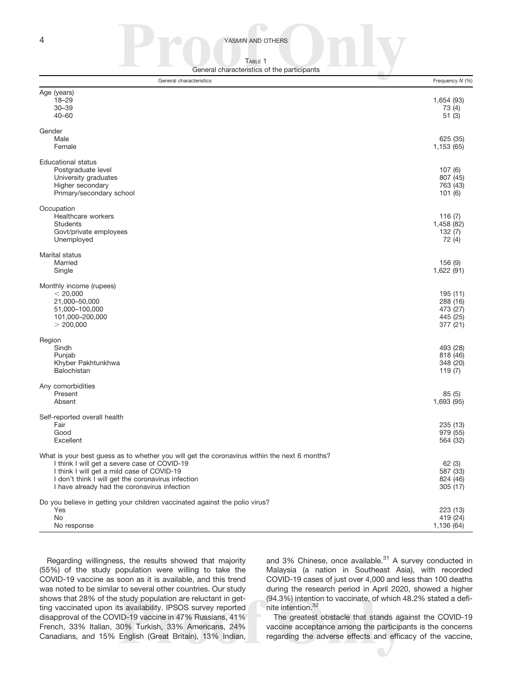<span id="page-5-0"></span>**4** YASMIN AND OTHERS

TABLE 1 General characteristics of the participants

| General characteristics                                                                                                                                                                                                                                                                          | Frequency N (%)                                          |
|--------------------------------------------------------------------------------------------------------------------------------------------------------------------------------------------------------------------------------------------------------------------------------------------------|----------------------------------------------------------|
| Age (years)<br>$18 - 29$<br>$30 - 39$<br>$40 - 60$                                                                                                                                                                                                                                               | 1,654 (93)<br>73 (4)<br>51(3)                            |
| Gender<br>Male<br>Female                                                                                                                                                                                                                                                                         | 625 (35)<br>1,153 (65)                                   |
| <b>Educational status</b><br>Postgraduate level<br>University graduates<br>Higher secondary<br>Primary/secondary school                                                                                                                                                                          | 107(6)<br>807 (45)<br>763 (43)<br>101(6)                 |
| Occupation<br>Healthcare workers<br><b>Students</b><br>Govt/private employees<br>Unemployed                                                                                                                                                                                                      | 116 $(7)$<br>1,458 (82)<br>132(7)<br>72 (4)              |
| Marital status<br>Married<br>Single                                                                                                                                                                                                                                                              | 156(9)<br>1,622 (91)                                     |
| Monthly income (rupees)<br>< 20,000<br>21,000-50,000<br>51,000-100,000<br>101,000-200,000<br>> 200,000                                                                                                                                                                                           | 195 (11)<br>288 (16)<br>473 (27)<br>445 (25)<br>377 (21) |
| Region<br>Sindh<br>Punjab<br>Khyber Pakhtunkhwa<br>Balochistan                                                                                                                                                                                                                                   | 493 (28)<br>818 (46)<br>348 (20)<br>119(7)               |
| Any comorbidities<br>Present<br>Absent                                                                                                                                                                                                                                                           | 85(5)<br>1,693 (95)                                      |
| Self-reported overall health<br>Fair<br>Good<br>Excellent                                                                                                                                                                                                                                        | 235 (13)<br>979 (55)<br>564 (32)                         |
| What is your best guess as to whether you will get the coronavirus within the next 6 months?<br>I think I will get a severe case of COVID-19<br>I think I will get a mild case of COVID-19<br>I don't think I will get the coronavirus infection<br>I have already had the coronavirus infection | 62(3)<br>587 (33)<br>824 (46)<br>305 (17)                |
| Do you believe in getting your children vaccinated against the polio virus?<br>Yes<br>No.<br>No response                                                                                                                                                                                         | 223 (13)<br>419 (24)<br>1,136 (64)                       |

Regarding willingness, the results showed that majority (55%) of the study population were willing to take the COVID-19 vaccine as soon as it is available, and this trend was noted to be similar to several other countries. Our study shows that 28% of the study population are reluctant in getting vaccinated upon its availability. IPSOS survey reported disapproval of the COVID-19 vaccine in 47% Russians, 41% French, 33% Italian, 30% Turkish, 33% Americans, 24% Canadians, and 15% English (Great Britain), 13% Indian,

and 3% Chinese, once available.<sup>31</sup> A survey conducted in Malaysia (a nation in Southeast Asia), with recorded COVID-19 cases of just over 4,000 and less than 100 deaths during the research period in April 2020, showed a higher (94.3%) intention to vaccinate, of which 48.2% stated a definite intention[.32](#page-11-0)

The greatest obstacle that stands against the COVID-19 vaccine acceptance among the participants is the concerns regarding the adverse effects and efficacy of the vaccine,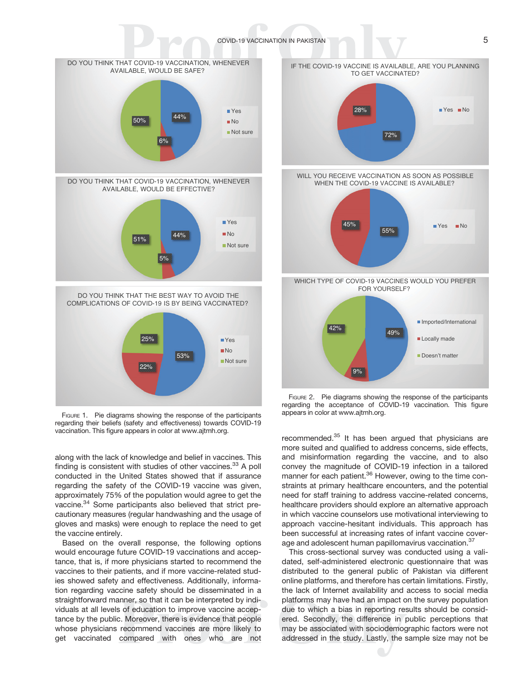### COVID-19 VACCINATION IN PAKISTAN 5

<span id="page-6-0"></span>

FIGURE 1. Pie diagrams showing the response of the participants regarding their beliefs (safety and effectiveness) towards COVID-19 vaccination. This figure appears in color at [www.ajtmh.org](http://www.ajtmh.org).

along with the lack of knowledge and belief in vaccines. This finding is consistent with studies of other vaccines.  $33$  A poll conducted in the United States showed that if assurance regarding the safety of the COVID-19 vaccine was given, approximately 75% of the population would agree to get the vaccine.[34](#page-11-0) Some participants also believed that strict precautionary measures (regular handwashing and the usage of gloves and masks) were enough to replace the need to get the vaccine entirely.

Based on the overall response, the following options would encourage future COVID-19 vaccinations and acceptance, that is, if more physicians started to recommend the vaccines to their patients, and if more vaccine-related studies showed safety and effectiveness. Additionally, information regarding vaccine safety should be disseminated in a straightforward manner, so that it can be interpreted by individuals at all levels of education to improve vaccine acceptance by the public. Moreover, there is evidence that people whose physicians recommend vaccines are more likely to get vaccinated compared with ones who are not



FIGURE 2. Pie diagrams showing the response of the participants regarding the acceptance of COVID-19 vaccination. This figure appears in color at [www.ajtmh.org](http://www.ajtmh.org).

recommended.<sup>35</sup> It has been argued that physicians are more suited and qualified to address concerns, side effects, and misinformation regarding the vaccine, and to also convey the magnitude of COVID-19 infection in a tailored manner for each patient.<sup>[36](#page-11-0)</sup> However, owing to the time constraints at primary healthcare encounters, and the potential need for staff training to address vaccine-related concerns, healthcare providers should explore an alternative approach in which vaccine counselors use motivational interviewing to approach vaccine-hesitant individuals. This approach has been successful at increasing rates of infant vaccine coverage and adolescent human papillomavirus vaccination.<sup>37</sup>

This cross-sectional survey was conducted using a validated, self-administered electronic questionnaire that was distributed to the general public of Pakistan via different online platforms, and therefore has certain limitations. Firstly, the lack of Internet availability and access to social media platforms may have had an impact on the survey population due to which a bias in reporting results should be considered. Secondly, the difference in public perceptions that may be associated with sociodemographic factors were not addressed in the study. Lastly, the sample size may not be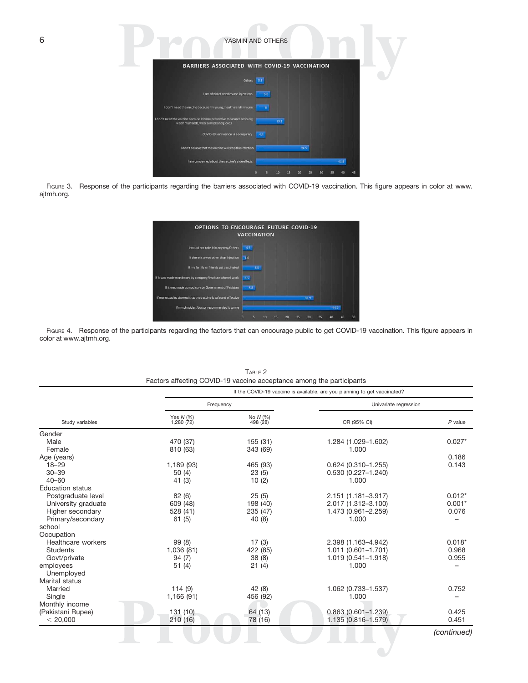<span id="page-7-0"></span>

| 6 | YASMIN AND OTHERS                                                                                                        |
|---|--------------------------------------------------------------------------------------------------------------------------|
|   | BARRIERS ASSOCIATED WITH COVID-19 VACCINATION                                                                            |
|   | Others                                                                                                                   |
|   | I am afraid of needles and injections<br>6.6                                                                             |
|   | I don't need the vaccine because I'm young, healthy and immune                                                           |
|   | I don't need the vaccine because I follow preventive measures seriously,<br>13.1<br>washmy hands, wear a mask and gloves |
|   | COVID-19 vaccination is a conspiracy<br>44                                                                               |
|   | I don't believe that the vaccine will stop the infection<br>24.5                                                         |
|   | I am concerned about the vaccine's side effects<br>41.5                                                                  |
|   | 45<br>40                                                                                                                 |

FIGURE 3. Response of the participants regarding the barriers associated with COVID-19 vaccination. This figure appears in color at [www.](http://www.ajtmh.org) [ajtmh.org.](http://www.ajtmh.org)

| <b>OPTIONS TO ENCOURAGE FUTURE COVID-19</b><br><b>VACCINATION</b> |     |     |    |    |    |    |      |    |      |    |
|-------------------------------------------------------------------|-----|-----|----|----|----|----|------|----|------|----|
| I would not take it in anyway/Others                              | 4.5 |     |    |    |    |    |      |    |      |    |
| If there is a way other than injection                            | 1.6 |     |    |    |    |    |      |    |      |    |
| If my family or friends get vaccinated                            |     | 8.5 |    |    |    |    |      |    |      |    |
| If it was made mandatory by company/institute where I work        | 3.5 |     |    |    |    |    |      |    |      |    |
| If it was made compulsory by Government of Pakistan               | 5.8 |     |    |    |    |    |      |    |      |    |
| If more studies showed that the vaccine is safe and effective     |     |     |    |    |    |    | 31.9 |    |      |    |
| If my physician/doctor recommended it to me                       |     |     |    |    |    |    |      |    | 44.2 |    |
|                                                                   | o   | 5   | 10 | 15 | 20 | 25 | 30   | 35 | Δn   | 50 |

FIGURE 4. Response of the participants regarding the factors that can encourage public to get COVID-19 vaccination. This figure appears in color at [www.ajtmh.org](http://www.ajtmh.org).

|                         |                          | If the COVID-19 vaccine is available, are you planning to get vaccinated? |                        |             |  |  |  |  |  |
|-------------------------|--------------------------|---------------------------------------------------------------------------|------------------------|-------------|--|--|--|--|--|
|                         | Frequency                |                                                                           | Univariate regression  |             |  |  |  |  |  |
| Study variables         | Yes $N$ (%)<br>1,280(72) | No N (%)<br>498 (28)                                                      | OR (95% CI)            | $P$ value   |  |  |  |  |  |
| Gender                  |                          |                                                                           |                        |             |  |  |  |  |  |
| Male                    | 470 (37)                 | 155 (31)                                                                  | 1.284 (1.029-1.602)    | $0.027*$    |  |  |  |  |  |
| Female                  | 810 (63)                 | 343 (69)                                                                  | 1.000                  |             |  |  |  |  |  |
| Age (years)             |                          |                                                                           |                        | 0.186       |  |  |  |  |  |
| $18 - 29$               | 1,189 (93)               | 465 (93)                                                                  | $0.624(0.310-1.255)$   | 0.143       |  |  |  |  |  |
| $30 - 39$               | 50(4)                    | 23(5)                                                                     | $0.530(0.227 - 1.240)$ |             |  |  |  |  |  |
| $40 - 60$               | 41(3)                    | 10(2)                                                                     | 1.000                  |             |  |  |  |  |  |
| <b>Education status</b> |                          |                                                                           |                        |             |  |  |  |  |  |
| Postgraduate level      | 82 (6)                   | 25(5)                                                                     | 2.151 (1.181-3.917)    | $0.012*$    |  |  |  |  |  |
| University graduate     | 609 (48)                 | 198 (40)                                                                  | 2.017 (1.312-3.100)    | $0.001*$    |  |  |  |  |  |
| Higher secondary        | 528 (41)                 | 235 (47)                                                                  | 1.473 (0.961-2.259)    | 0.076       |  |  |  |  |  |
| Primary/secondary       | 61(5)                    | 40 (8)                                                                    | 1.000                  |             |  |  |  |  |  |
| school                  |                          |                                                                           |                        |             |  |  |  |  |  |
| Occupation              |                          |                                                                           |                        |             |  |  |  |  |  |
| Healthcare workers      | 99(8)                    | 17(3)                                                                     | 2.398 (1.163-4.942)    | $0.018*$    |  |  |  |  |  |
| <b>Students</b>         | 1,036 (81)               | 422 (85)                                                                  | 1.011 (0.601-1.701)    | 0.968       |  |  |  |  |  |
| Govt/private            | 94(7)                    | 38(8)                                                                     | 1.019 (0.541-1.918)    | 0.955       |  |  |  |  |  |
| employees               | 51(4)                    | 21(4)                                                                     | 1.000                  |             |  |  |  |  |  |
| Unemployed              |                          |                                                                           |                        |             |  |  |  |  |  |
| Marital status          |                          |                                                                           |                        |             |  |  |  |  |  |
| Married                 | 114(9)                   | 42 (8)                                                                    | 1.062 (0.733-1.537)    | 0.752       |  |  |  |  |  |
| Single                  | 1,166 (91)               | 456 (92)                                                                  | 1.000                  |             |  |  |  |  |  |
| Monthly income          |                          |                                                                           |                        |             |  |  |  |  |  |
| (Pakistani Rupee)       | 131(10)                  | 64 (13)                                                                   | $0.863(0.601 - 1.239)$ | 0.425       |  |  |  |  |  |
| < 20,000                | 210 (16)                 | 78 (16)                                                                   | 1.135 (0.816-1.579)    | 0.451       |  |  |  |  |  |
|                         |                          |                                                                           |                        | (continued) |  |  |  |  |  |

TABLE 2 Factors affecting COVID-19 vaccine acceptance among the participants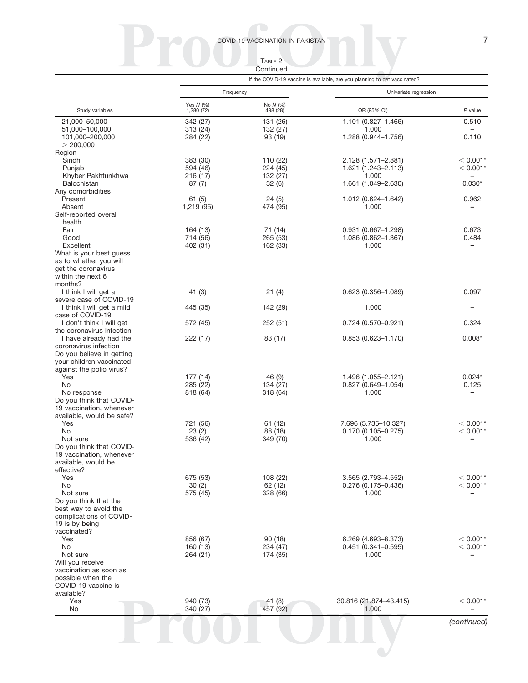COVID-19 VACCINATION IN PAKISTAN 7

TABLE 2

Continued

|                                                      |                         |                      | If the COVID-19 vaccine is available, are you planning to get vaccinated? |                          |  |  |
|------------------------------------------------------|-------------------------|----------------------|---------------------------------------------------------------------------|--------------------------|--|--|
|                                                      | Frequency               |                      | Univariate regression                                                     |                          |  |  |
| Study variables                                      | Yes N (%)<br>1,280 (72) | No N (%)<br>498 (28) | OR (95% CI)                                                               | $P$ value                |  |  |
| 21,000-50,000                                        | 342 (27)                | 131 (26)             | 1.101 (0.827-1.466)                                                       | 0.510                    |  |  |
| 51,000-100,000                                       | 313 (24)                | 132 (27)             | 1.000                                                                     | $\overline{\phantom{0}}$ |  |  |
| 101.000-200.000<br>> 200,000                         | 284 (22)                | 93 (19)              | 1.288 (0.944-1.756)                                                       | 0.110                    |  |  |
| Region                                               |                         |                      |                                                                           |                          |  |  |
| Sindh                                                | 383 (30)                | 110 (22)             | 2.128 (1.571–2.881)                                                       | $< 0.001*$               |  |  |
| Punjab                                               | 594 (46)                | 224 (45)             | 1.621 (1.243-2.113)                                                       | $< 0.001*$               |  |  |
| Khyber Pakhtunkhwa                                   | 216 (17)                | 132 (27)             | 1.000                                                                     |                          |  |  |
| <b>Balochistan</b><br>Any comorbidities              | 87(7)                   | 32(6)                | 1.661 (1.049-2.630)                                                       | $0.030*$                 |  |  |
| Present                                              | 61(5)                   | 24(5)                | 1.012 (0.624-1.642)                                                       | 0.962                    |  |  |
| Absent                                               | 1,219 (95)              | 474 (95)             | 1.000                                                                     |                          |  |  |
| Self-reported overall                                |                         |                      |                                                                           |                          |  |  |
| health<br>Fair                                       |                         |                      |                                                                           | 0.673                    |  |  |
| Good                                                 | 164 (13)<br>714 (56)    | 71 (14)<br>265 (53)  | 0.931 (0.667-1.298)<br>1.086 (0.862-1.367)                                | 0.484                    |  |  |
| Excellent                                            | 402 (31)                | 162 (33)             | 1.000                                                                     |                          |  |  |
| What is your best guess                              |                         |                      |                                                                           |                          |  |  |
| as to whether you will                               |                         |                      |                                                                           |                          |  |  |
| get the coronavirus<br>within the next 6             |                         |                      |                                                                           |                          |  |  |
| months?                                              |                         |                      |                                                                           |                          |  |  |
| I think I will get a                                 | 41 (3)                  | 21(4)                | $0.623(0.356 - 1.089)$                                                    | 0.097                    |  |  |
| severe case of COVID-19                              |                         |                      |                                                                           |                          |  |  |
| I think I will get a mild                            | 445 (35)                | 142 (29)             | 1.000                                                                     |                          |  |  |
| case of COVID-19<br>I don't think I will get         | 572 (45)                | 252 (51)             | $0.724$ (0.570-0.921)                                                     | 0.324                    |  |  |
| the coronavirus infection                            |                         |                      |                                                                           |                          |  |  |
| I have already had the                               | 222 (17)                | 83 (17)              | $0.853(0.623 - 1.170)$                                                    | $0.008*$                 |  |  |
| coronavirus infection                                |                         |                      |                                                                           |                          |  |  |
| Do you believe in getting                            |                         |                      |                                                                           |                          |  |  |
| your children vaccinated<br>against the polio virus? |                         |                      |                                                                           |                          |  |  |
| Yes                                                  | 177 (14)                | 46 (9)               | 1.496 (1.055-2.121)                                                       | $0.024*$                 |  |  |
| No                                                   | 285 (22)                | 134 (27)             | $0.827(0.649-1.054)$                                                      | 0.125                    |  |  |
| No response                                          | 818 (64)                | 318 (64)             | 1.000                                                                     | -                        |  |  |
| Do you think that COVID-<br>19 vaccination, whenever |                         |                      |                                                                           |                          |  |  |
| available, would be safe?                            |                         |                      |                                                                           |                          |  |  |
| Yes                                                  | 721 (56)                | 61 (12)              | 7.696 (5.735-10.327)                                                      | $< 0.001*$               |  |  |
| No                                                   | 23(2)                   | 88 (18)              | $0.170(0.105 - 0.275)$                                                    | $< 0.001*$               |  |  |
| Not sure                                             | 536 (42)                | 349 (70)             | 1.000                                                                     |                          |  |  |
| Do you think that COVID-<br>19 vaccination, whenever |                         |                      |                                                                           |                          |  |  |
| available, would be                                  |                         |                      |                                                                           |                          |  |  |
| effective?                                           |                         |                      |                                                                           |                          |  |  |
| Yes                                                  | 675 (53)                | 108 (22)             | 3.565 (2.793-4.552)                                                       | $< 0.001*$               |  |  |
| No                                                   | 30(2)                   | 62 (12)              | 0.276 (0.175-0.436)                                                       | $< 0.001*$               |  |  |
| Not sure<br>Do you think that the                    | 575 (45)                | 328 (66)             | 1.000                                                                     |                          |  |  |
| best way to avoid the                                |                         |                      |                                                                           |                          |  |  |
| complications of COVID-                              |                         |                      |                                                                           |                          |  |  |
| 19 is by being                                       |                         |                      |                                                                           |                          |  |  |
| vaccinated?<br>Yes                                   | 856 (67)                | 90(18)               | 6.269 (4.693-8.373)                                                       | $< 0.001*$               |  |  |
| No                                                   | 160 (13)                | 234 (47)             | $0.451$ (0.341-0.595)                                                     | $< 0.001*$               |  |  |
| Not sure                                             | 264 (21)                | 174 (35)             | 1.000                                                                     |                          |  |  |
| Will you receive                                     |                         |                      |                                                                           |                          |  |  |
| vaccination as soon as<br>possible when the          |                         |                      |                                                                           |                          |  |  |
| COVID-19 vaccine is                                  |                         |                      |                                                                           |                          |  |  |
| available?                                           |                         |                      |                                                                           |                          |  |  |
| Yes                                                  | 940 (73)                | 41 $(8)$             | 30.816 (21.874-43.415)                                                    | $< 0.001*$               |  |  |
| No                                                   | 340 (27)                | 457 (92)             | 1.000                                                                     |                          |  |  |
|                                                      |                         |                      |                                                                           | (continued)              |  |  |
|                                                      |                         |                      |                                                                           |                          |  |  |
|                                                      |                         |                      |                                                                           |                          |  |  |
|                                                      |                         |                      |                                                                           |                          |  |  |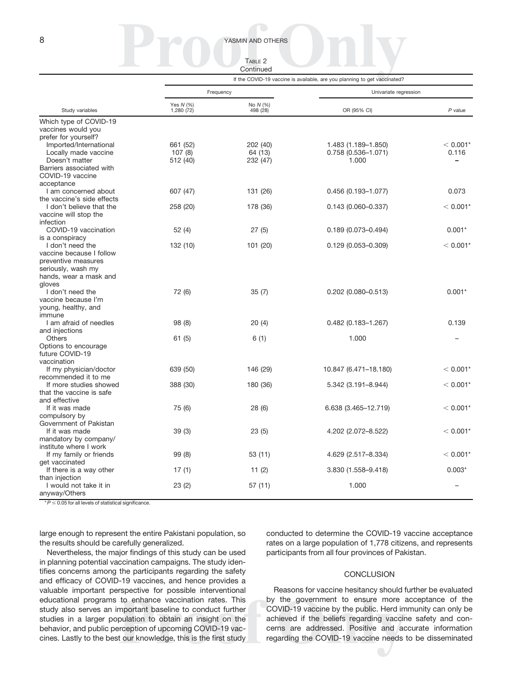## 8 YASMIN AND OTHERS

| TABLE <sub>2</sub> |  |
|--------------------|--|
| Continued          |  |

|                            | If the COVID-19 vaccine is available, are you planning to get vaccinated? |                      |                        |            |  |  |  |
|----------------------------|---------------------------------------------------------------------------|----------------------|------------------------|------------|--|--|--|
|                            | Frequency                                                                 |                      | Univariate regression  |            |  |  |  |
| Study variables            | Yes N (%)<br>1,280 (72)                                                   | No N (%)<br>498 (28) | OR (95% CI)            | $P$ value  |  |  |  |
| Which type of COVID-19     |                                                                           |                      |                        |            |  |  |  |
| vaccines would you         |                                                                           |                      |                        |            |  |  |  |
| prefer for yourself?       |                                                                           |                      |                        |            |  |  |  |
| Imported/International     | 661 (52)                                                                  | 202 (40)             | 1.483 (1.189-1.850)    | $< 0.001*$ |  |  |  |
| Locally made vaccine       | 107(8)                                                                    | 64 (13)              | 0.758 (0.536-1.071)    | 0.116      |  |  |  |
| Doesn't matter             | 512 (40)                                                                  | 232 (47)             | 1.000                  |            |  |  |  |
| Barriers associated with   |                                                                           |                      |                        |            |  |  |  |
| COVID-19 vaccine           |                                                                           |                      |                        |            |  |  |  |
| acceptance                 |                                                                           |                      |                        |            |  |  |  |
| I am concerned about       | 607 (47)                                                                  | 131 (26)             | $0.456(0.193 - 1.077)$ | 0.073      |  |  |  |
| the vaccine's side effects |                                                                           |                      |                        |            |  |  |  |
| I don't believe that the   | 258 (20)                                                                  | 178 (36)             | $0.143(0.060 - 0.337)$ | $< 0.001*$ |  |  |  |
| vaccine will stop the      |                                                                           |                      |                        |            |  |  |  |
| infection                  |                                                                           |                      |                        |            |  |  |  |
| COVID-19 vaccination       | 52(4)                                                                     | 27(5)                | $0.189(0.073 - 0.494)$ | $0.001*$   |  |  |  |
| is a conspiracy            |                                                                           |                      |                        |            |  |  |  |
| I don't need the           | 132 (10)                                                                  | 101 (20)             | $0.129(0.053 - 0.309)$ | $< 0.001*$ |  |  |  |
| vaccine because I follow   |                                                                           |                      |                        |            |  |  |  |
| preventive measures        |                                                                           |                      |                        |            |  |  |  |
|                            |                                                                           |                      |                        |            |  |  |  |
| seriously, wash my         |                                                                           |                      |                        |            |  |  |  |
| hands, wear a mask and     |                                                                           |                      |                        |            |  |  |  |
| gloves<br>I don't need the |                                                                           |                      |                        | $0.001*$   |  |  |  |
|                            | 72 (6)                                                                    | 35(7)                | $0.202$ (0.080-0.513)  |            |  |  |  |
| vaccine because I'm        |                                                                           |                      |                        |            |  |  |  |
| young, healthy, and        |                                                                           |                      |                        |            |  |  |  |
| immune                     |                                                                           |                      |                        |            |  |  |  |
| I am afraid of needles     | 98 (8)                                                                    | 20(4)                | $0.482$ (0.183-1.267)  | 0.139      |  |  |  |
| and injections             |                                                                           |                      |                        |            |  |  |  |
| Others                     | 61 (5)                                                                    | 6(1)                 | 1.000                  |            |  |  |  |
| Options to encourage       |                                                                           |                      |                        |            |  |  |  |
| future COVID-19            |                                                                           |                      |                        |            |  |  |  |
| vaccination                |                                                                           |                      |                        |            |  |  |  |
| If my physician/doctor     | 639 (50)                                                                  | 146 (29)             | 10.847 (6.471-18.180)  | $< 0.001*$ |  |  |  |
| recommended it to me       |                                                                           |                      |                        |            |  |  |  |
| If more studies showed     | 388 (30)                                                                  | 180 (36)             | 5.342 (3.191-8.944)    | $< 0.001*$ |  |  |  |
| that the vaccine is safe   |                                                                           |                      |                        |            |  |  |  |
| and effective              |                                                                           |                      |                        |            |  |  |  |
| If it was made             | 75 (6)                                                                    | 28 (6)               | 6.638 (3.465-12.719)   | $< 0.001*$ |  |  |  |
| compulsory by              |                                                                           |                      |                        |            |  |  |  |
| Government of Pakistan     |                                                                           |                      |                        |            |  |  |  |
| If it was made             | 39(3)                                                                     | 23(5)                | 4.202 (2.072-8.522)    | $< 0.001*$ |  |  |  |
| mandatory by company/      |                                                                           |                      |                        |            |  |  |  |
| institute where I work     |                                                                           |                      |                        |            |  |  |  |
| If my family or friends    | 99(8)                                                                     | 53 (11)              | 4.629 (2.517-8.334)    | $< 0.001*$ |  |  |  |
| get vaccinated             |                                                                           |                      |                        |            |  |  |  |
| If there is a way other    | 17(1)                                                                     | 11 $(2)$             | 3.830 (1.558-9.418)    | $0.003*$   |  |  |  |
| than injection             |                                                                           |                      |                        |            |  |  |  |
| I would not take it in     | 23(2)                                                                     | 57 (11)              | 1.000                  |            |  |  |  |
| anyway/Others              |                                                                           |                      |                        |            |  |  |  |

 $*P \leq 0.05$  for all levels of statistical significance.

large enough to represent the entire Pakistani population, so the results should be carefully generalized.

Nevertheless, the major findings of this study can be used in planning potential vaccination campaigns. The study identifies concerns among the participants regarding the safety and efficacy of COVID-19 vaccines, and hence provides a valuable important perspective for possible interventional educational programs to enhance vaccination rates. This study also serves an important baseline to conduct further studies in a larger population to obtain an insight on the behavior, and public perception of upcoming COVID-19 vaccines. Lastly to the best our knowledge, this is the first study conducted to determine the COVID-19 vaccine acceptance rates on a large population of 1,778 citizens, and represents participants from all four provinces of Pakistan.

#### **CONCLUSION**

Reasons for vaccine hesitancy should further be evaluated by the government to ensure more acceptance of the COVID-19 vaccine by the public. Herd immunity can only be achieved if the beliefs regarding vaccine safety and concerns are addressed. Positive and accurate information regarding the COVID-19 vaccine needs to be disseminated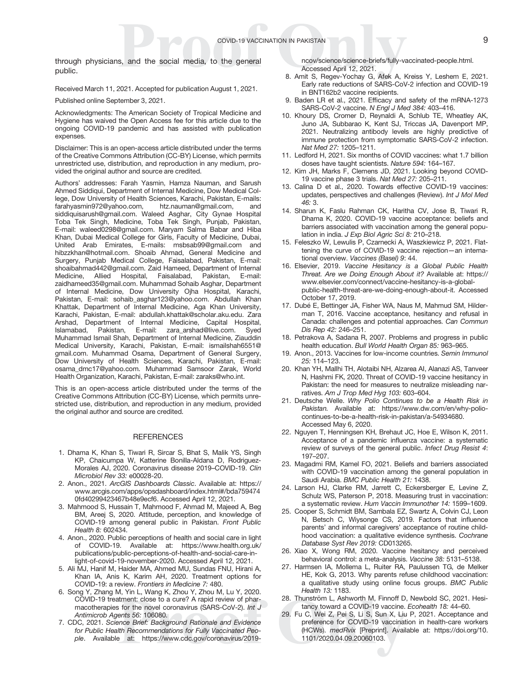<span id="page-10-0"></span>through physicians, and the social media, to the general public.

Received March 11, 2021. Accepted for publication August 1, 2021.

Published online September 3, 2021.

Acknowledgments: The American Society of Tropical Medicine and Hygiene has waived the Open Access fee for this article due to the ongoing COVID-19 pandemic and has assisted with publication expenses.

Disclaimer: This is an open-access article distributed under the terms of the Creative Commons Attribution (CC-BY) License, which permits unrestricted use, distribution, and reproduction in any medium, provided the original author and source are credited.

Authors' addresses: Farah Yasmin, Hamza Nauman, and Sarush Ahmed Siddiqui, Department of Internal Medicine, Dow Medical College, Dow University of Health Sciences, Karachi, Pakistan, E-mails: [farahyasmin972@yahoo.com](mailto:farahyasmin972@yahoo.com), [htz.nauman@gmail.com,](mailto:htz.nauman@gmail.com) and [siddiquisarush@gmail.com.](mailto:siddiquisarush@gmail.com) Waleed Asghar, City Gynae Hospital Toba Tek Singh, Medicine, Toba Tek Singh, Punjab, Pakistan, E-mail: [waleed0298@gmail.com](mailto:waleed0298@gmail.com). Maryam Salma Babar and Hiba Khan, Dubai Medical College for Girls, Faculty of Medicine, Dubai, United Arab Emirates, E-mails: [msbsab99@gmail.com](mailto:msbsab99@gmail.com) and [hibzzkhan@hotmail.com](mailto:hibzzkhan@hotmail.com). Shoaib Ahmad, General Medicine and Surgery, Punjab Medical College, Faisalabad, Pakistan, E-mail: [shoaibahmad442@gmail.com.](mailto:shoaibahmad442@gmail.com) Zaid Hameed, Department of Internal Medicine, Allied Hospital, Faisalabad, Pakistan, E-mail: [zaidhameed35@gmail.com.](mailto:zaidhameed35@gmail.com) Muhammad Sohaib Asghar, Department of Internal Medicine, Dow University Ojha Hospital, Karachi, Pakistan, E-mail: [sohaib\\_asghar123@yahoo.com.](mailto:sohaib_asghar123@yahoo.com) Abdullah Khan Khattak, Department of Internal Medicine, Aga Khan University, Karachi, Pakistan, E-mail: [abdullah.khattak@scholar.aku.edu.](mailto:abdullah.khattak@scholar.aku.edu) Zara Arshad, Department of Internal Medicine, Capital Hospital, Islamabad, Pakistan, E-mail: [zara\\_arshad@live.com](mailto:zara_arshad@live.com). Syed Muhammad Ismail Shah, Department of Internal Medicine, Ziauddin Medical University, Karachi, Pakistan, E-mail: [ismailshah6551@](mailto:ismailshah6551@gmail.com) [gmail.com](mailto:ismailshah6551@gmail.com). Muhammad Osama, Department of General Surgery, Dow University of Health Sciences, Karachi, Pakistan, E-mail: [osama\\_dmc17@yahoo.com.](mailto:osama_dmc17@yahoo.com) Muhammad Samsoor Zarak, World Health Organization, Karachi, Pakistan, E-mail: [zaraks@who.int.](mailto:zaraks@who.int)

This is an open-access article distributed under the terms of the [Creative Commons Attribution \(CC-BY\) License](https://creativecommons.org/licenses/by/4.0/), which permits unrestricted use, distribution, and reproduction in any medium, provided the original author and source are credited.

#### **REFERENCES**

- 1. Dhama K, Khan S, Tiwari R, Sircar S, Bhat S, Malik YS, Singh KP, Chaicumpa W, Katterine Bonilla-Aldana D, Rodriguez-Morales AJ, 2020. Coronavirus disease 2019–COVID-19. Clin Microbiol Rev 33: e00028-20.
- 2. Anon., 2021. ArcGIS Dashboards Classic. Available at: [https://](https://www.arcgis.com/apps/opsdashboard/index.html#/bda7594740fd40299423467b48e9ecf6) [www.arcgis.com/apps/opsdashboard/index.html#/bda759474](https://www.arcgis.com/apps/opsdashboard/index.html#/bda7594740fd40299423467b48e9ecf6) [0fd40299423467b48e9ecf6.](https://www.arcgis.com/apps/opsdashboard/index.html#/bda7594740fd40299423467b48e9ecf6) Accessed April 12, 2021.
- 3. Mahmood S, Hussain T, Mahmood F, Ahmad M, Majeed A, Beg BM, Areej S, 2020. Attitude, perception, and knowledge of COVID-19 among general public in Pakistan. Front Public Health 8: 602434.
- 4. Anon., 2020. Public perceptions of health and social care in light of COVID-19. Available at: [https://www.health.org.uk/](https://www.health.org.uk/publications/public-perceptions-of-health-and-social-care-in-light-of-covid-19-november-2020) [publications/public-perceptions-of-health-and-social-care-in](https://www.health.org.uk/publications/public-perceptions-of-health-and-social-care-in-light-of-covid-19-november-2020)[light-of-covid-19-november-2020](https://www.health.org.uk/publications/public-perceptions-of-health-and-social-care-in-light-of-covid-19-november-2020). Accessed April 12, 2021.
- 5. Ali MJ, Hanif M, Haider MA, Ahmed MU, Sundas FNU, Hirani A, Khan IA, Anis K, Karim AH, 2020. Treatment options for COVID-19: a review. Frontiers in Medicine 7: 480.
- 6. Song Y, Zhang M, Yin L, Wang K, Zhou Y, Zhou M, Lu Y, 2020. COVID-19 treatment: close to a cure? A rapid review of pharmacotherapies for the novel coronavirus (SARS-CoV-2). Int J Antimicrob Agents 56: 106080.
- 7. CDC, 2021. Science Brief: Background Rationale and Evidence for Public Health Recommendations for Fully Vaccinated People. Available at: [https://www.cdc.gov/coronavirus/2019-](https://www.cdc.gov/coronavirus/2019-ncov/science/science-briefs/fully-vaccinated-people.html)

[ncov/science/science-briefs/fully-vaccinated-people.html](https://www.cdc.gov/coronavirus/2019-ncov/science/science-briefs/fully-vaccinated-people.html). Accessed April 12, 2021.

- 8. Amit S, Regev-Yochay G, Afek A, Kreiss Y, Leshem E, 2021. Early rate reductions of SARS-CoV-2 infection and COVID-19 in BNT162b2 vaccine recipients.
- 9. Baden LR et al., 2021. Efficacy and safety of the mRNA-1273 SARS-CoV-2 vaccine. N Engl J Med 384: 403–416.
- 10. Khoury DS, Cromer D, Reynaldi A, Schlub TE, Wheatley AK, Juno JA, Subbarao K, Kent SJ, Triccas JA, Davenport MP, 2021. Neutralizing antibody levels are highly predictive of immune protection from symptomatic SARS-CoV-2 infection. Nat Med 27: 1205–1211.
- 11. Ledford H, 2021. Six months of COVID vaccines: what 1.7 billion doses have taught scientists. Nature 594: 164–167.
- 12. Kim JH, Marks F, Clemens JD, 2021. Looking beyond COVID-19 vaccine phase 3 trials. Nat Med 27: 205–211.
- 13. Calina D et al., 2020. Towards effective COVID-19 vaccines: updates, perspectives and challenges (Review). Int J Mol Med  $46.3$
- 14. Sharun K, Faslu Rahman CK, Haritha CV, Jose B, Tiwari R, Dhama K, 2020. COVID-19 vaccine acceptance: beliefs and barriers associated with vaccination among the general population in india. J Exp Biol Agric Sci 8: 210-218.
- 15. Feleszko W, Lewulis P, Czarnecki A, Waszkiewicz P, 2021. Flattening the curve of COVID-19 vaccine rejection—an international overview. Vaccines (Basel) 9: 44.
- 16. Elsevier, 2019. Vaccine Hesitancy is a Global Public Health Threat. Are we Doing Enough About it? Available at: [https://](https://www.elsevier.com/connect/vaccine-hesitancy-is-a-global-public-health-threat-are-we-doing-enough-about-it) [www.elsevier.com/connect/vaccine-hesitancy-is-a-global](https://www.elsevier.com/connect/vaccine-hesitancy-is-a-global-public-health-threat-are-we-doing-enough-about-it)[public-health-threat-are-we-doing-enough-about-it.](https://www.elsevier.com/connect/vaccine-hesitancy-is-a-global-public-health-threat-are-we-doing-enough-about-it) Accessed October 17, 2019.
- 17. Dubé E, Bettinger JA, Fisher WA, Naus M, Mahmud SM, Hilderman T, 2016. Vaccine acceptance, hesitancy and refusal in Canada: challenges and potential approaches. Can Commun Dis Rep 42: 246–251.
- 18. Petrakova A, Sadana R, 2007. Problems and progress in public health education. Bull World Health Organ 85: 963–965.
- 19. Anon., 2013. Vaccines for low-income countries. Semin Immunol 25: 114–123.
- 20. Khan YH, Mallhi TH, Alotaibi NH, Alzarea AI, Alanazi AS, Tanveer N, Hashmi FK, 2020. Threat of COVID-19 vaccine hesitancy in Pakistan: the need for measures to neutralize misleading narratives. Am J Trop Med Hyg 103: 603–604.
- 21. Deutsche Welle. Why Polio Continues to be a Health Risk in Pakistan. Available at: [https://www.dw.com/en/why-polio](https://www.dw.com/en/why-polio-continues-to-be-a-health-risk-in-pakistan/a-54934680)[continues-to-be-a-health-risk-in-pakistan/a-54934680](https://www.dw.com/en/why-polio-continues-to-be-a-health-risk-in-pakistan/a-54934680). Accessed May 6, 2020.
- 22. Nguyen T, Henningsen KH, Brehaut JC, Hoe E, Wilson K, 2011. Acceptance of a pandemic influenza vaccine: a systematic review of surveys of the general public. Infect Drug Resist 4: 197–207.
- 23. Magadmi RM, Kamel FO, 2021. Beliefs and barriers associated with COVID-19 vaccination among the general population in Saudi Arabia. BMC Public Health 21: 1438.
- 24. Larson HJ, Clarke RM, Jarrett C, Eckersberger E, Levine Z, Schulz WS, Paterson P, 2018. Measuring trust in vaccination: a systematic review. Hum Vaccin Immunother 14: 1599–1609.
- 25. Cooper S, Schmidt BM, Sambala EZ, Swartz A, Colvin CJ, Leon N, Betsch C, Wiysonge CS, 2019. Factors that influence parents' and informal caregivers' acceptance of routine childhood vaccination: a qualitative evidence synthesis. Cochrane Database Syst Rev 2019: CD013265.
- 26. Xiao X, Wong RM, 2020. Vaccine hesitancy and perceived behavioral control: a meta-analysis. Vaccine 38: 5131–5138.
- 27. Harmsen IA, Mollema L, Ruiter RA, Paulussen TG, de Melker HE, Kok G, 2013. Why parents refuse childhood vaccination: a qualitative study using online focus groups. BMC Public Health 13: 1183.
- 28. Thunström L, Ashworth M, Finnoff D, Newbold SC, 2021. Hesitancy toward a COVID-19 vaccine. Ecohealth 18: 44–60.
- 29. Fu C, Wei Z, Pei S, Li S, Sun X, Liu P, 2021. Acceptance and preference for COVID-19 vaccination in health-care workers (HCWs). medRvix [Preprint]. Available at: [https://doi.org/10.](https://doi.org/10.1101/2020.04.09.20060103) [1101/2020.04.09.20060103.](https://doi.org/10.1101/2020.04.09.20060103)